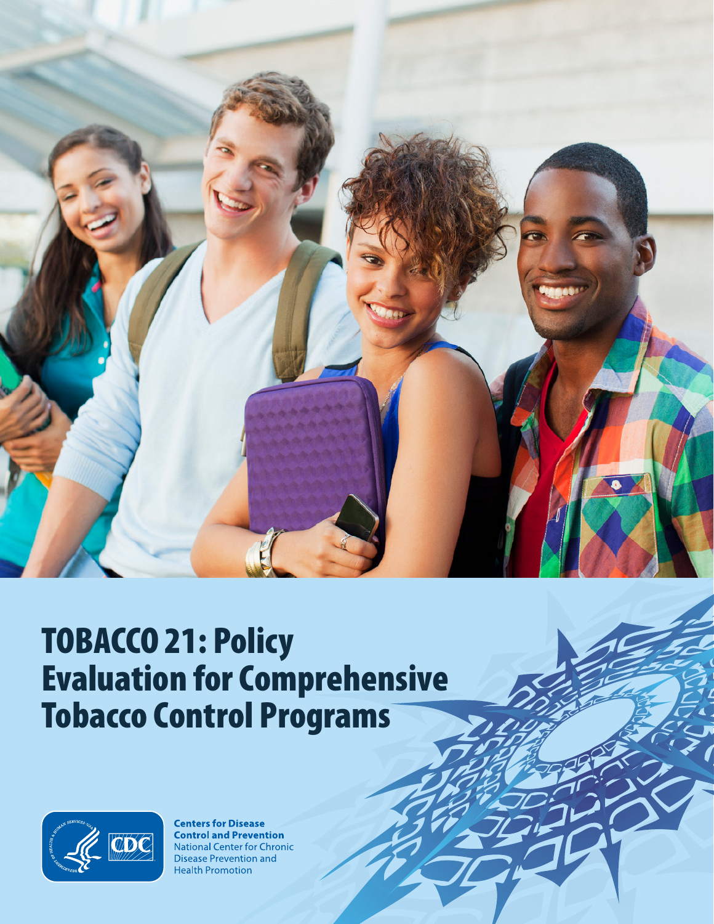

# TOBACCO 21: Policy Evaluation for Comprehensive Tobacco Control Programs



**Centers for Disease Control and Prevention National Center for Chronic Disease Prevention and Health Promotion**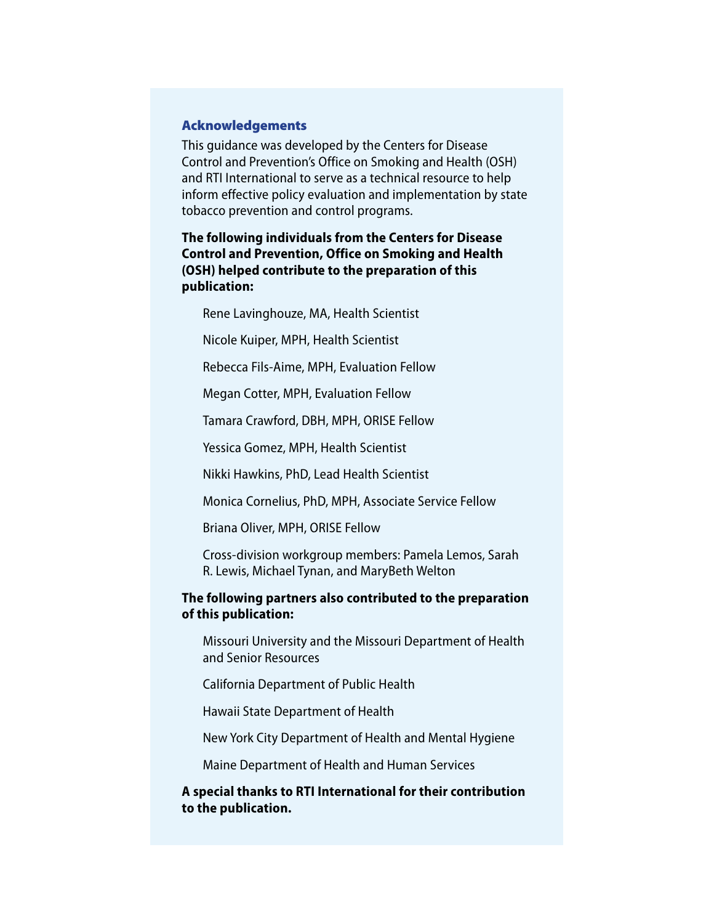#### Acknowledgements

This guidance was developed by the Centers for Disease Control and Prevention's Office on Smoking and Health (OSH) and RTI International to serve as a technical resource to help inform effective policy evaluation and implementation by state tobacco prevention and control programs.

**The following individuals from the Centers for Disease Control and Prevention, Office on Smoking and Health (OSH) helped contribute to the preparation of this publication:**

Rene Lavinghouze, MA, Health Scientist

Nicole Kuiper, MPH, Health Scientist

Rebecca Fils-Aime, MPH, Evaluation Fellow

Megan Cotter, MPH, Evaluation Fellow

Tamara Crawford, DBH, MPH, ORISE Fellow

Yessica Gomez, MPH, Health Scientist

Nikki Hawkins, PhD, Lead Health Scientist

Monica Cornelius, PhD, MPH, Associate Service Fellow

Briana Oliver, MPH, ORISE Fellow

Cross-division workgroup members: Pamela Lemos, Sarah R. Lewis, Michael Tynan, and MaryBeth Welton

**The following partners also contributed to the preparation of this publication:** 

Missouri University and the Missouri Department of Health and Senior Resources

California Department of Public Health

Hawaii State Department of Health

New York City Department of Health and Mental Hygiene

Maine Department of Health and Human Services

**A special thanks to RTI International for their contribution to the publication.**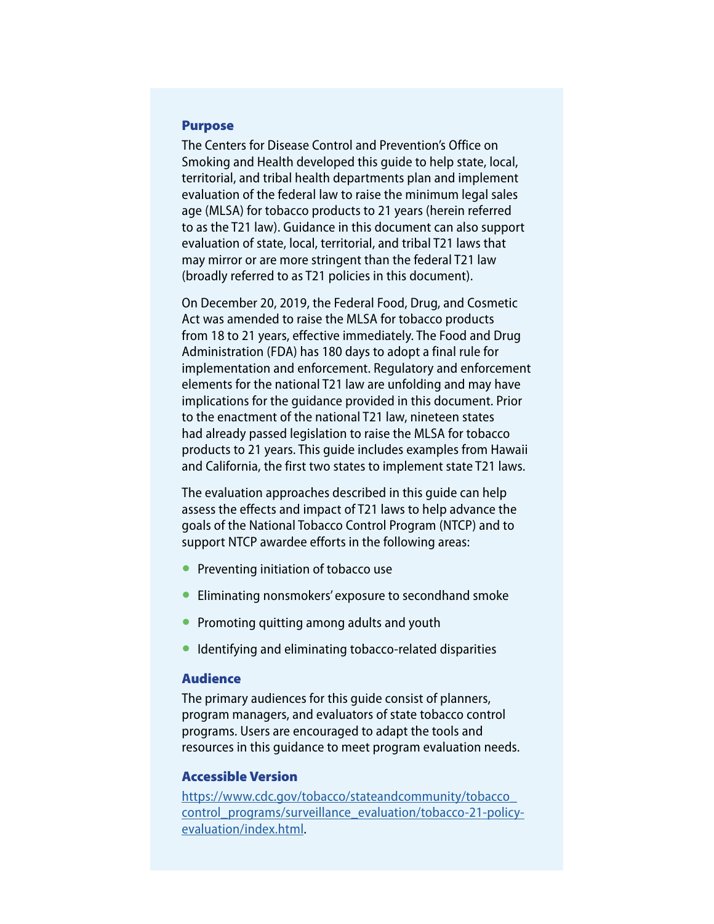#### Purpose

The Centers for Disease Control and Prevention's Office on Smoking and Health developed this guide to help state, local, territorial, and tribal health departments plan and implement evaluation of the federal law to raise the minimum legal sales age (MLSA) for tobacco products to 21 years (herein referred to as the T21 law). Guidance in this document can also support evaluation of state, local, territorial, and tribal T21 laws that may mirror or are more stringent than the federal T21 law (broadly referred to as T21 policies in this document).

On December 20, 2019, the Federal Food, Drug, and Cosmetic Act was amended to raise the MLSA for tobacco products from 18 to 21 years, effective immediately. The Food and Drug Administration (FDA) has 180 days to adopt a final rule for implementation and enforcement. Regulatory and enforcement elements for the national T21 law are unfolding and may have implications for the guidance provided in this document. Prior to the enactment of the national T21 law, nineteen states had already passed legislation to raise the MLSA for tobacco products to 21 years. This guide includes examples from Hawaii and California, the first two states to implement state T21 laws.

The evaluation approaches described in this guide can help assess the effects and impact of T21 laws to help advance the goals of the National Tobacco Control Program (NTCP) and to support NTCP awardee efforts in the following areas:

- Preventing initiation of tobacco use
- Eliminating nonsmokers' exposure to secondhand smoke
- Promoting quitting among adults and youth
- Identifying and eliminating tobacco-related disparities

#### Audience

The primary audiences for this guide consist of planners, program managers, and evaluators of state tobacco control programs. Users are encouraged to adapt the tools and resources in this guidance to meet program evaluation needs.

#### Accessible Version

[https://www.cdc.gov/tobacco/stateandcommunity/tobacco\\_](https://www.cdc.gov/tobacco/stateandcommunity/tobacco_control_programs/surveillance_evaluation/tobacco-21-policy-evaluation/index.html) [control\\_programs/surveillance\\_evaluation/tobacco-21-policy](https://www.cdc.gov/tobacco/stateandcommunity/tobacco_control_programs/surveillance_evaluation/tobacco-21-policy-evaluation/index.html)[evaluation/index.html](https://www.cdc.gov/tobacco/stateandcommunity/tobacco_control_programs/surveillance_evaluation/tobacco-21-policy-evaluation/index.html).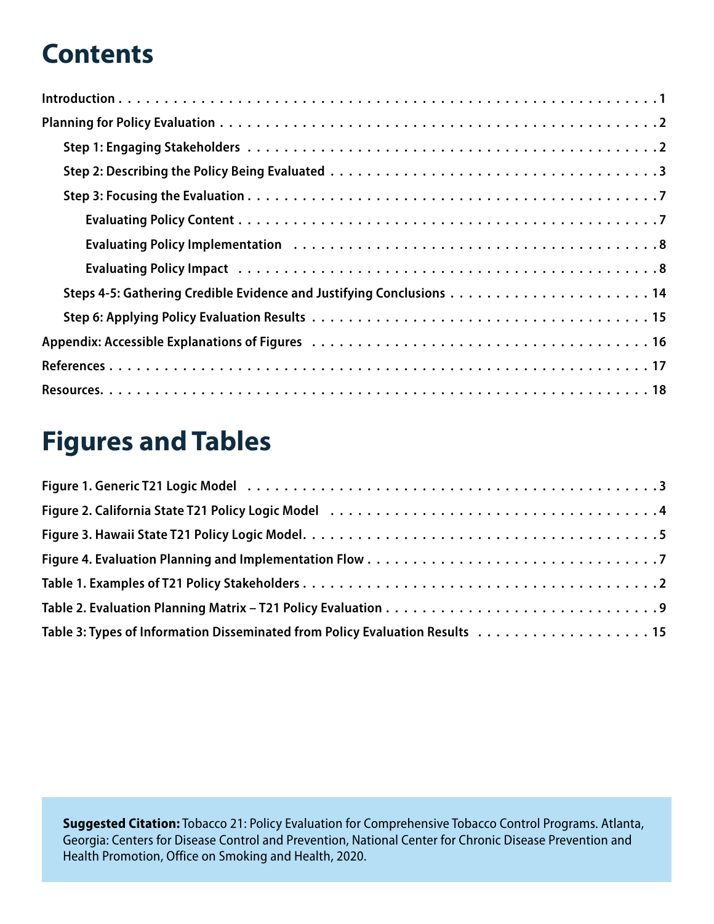# **Contents**

# **Figures and Tables**

| Table 3: Types of Information Disseminated from Policy Evaluation Results 15 |
|------------------------------------------------------------------------------|

**Suggested Citation:** Tobacco 21: Policy Evaluation for Comprehensive Tobacco Control Programs. Atlanta, Georgia: Centers for Disease Control and Prevention, National Center for Chronic Disease Prevention and Health Promotion, Office on Smoking and Health, 2020.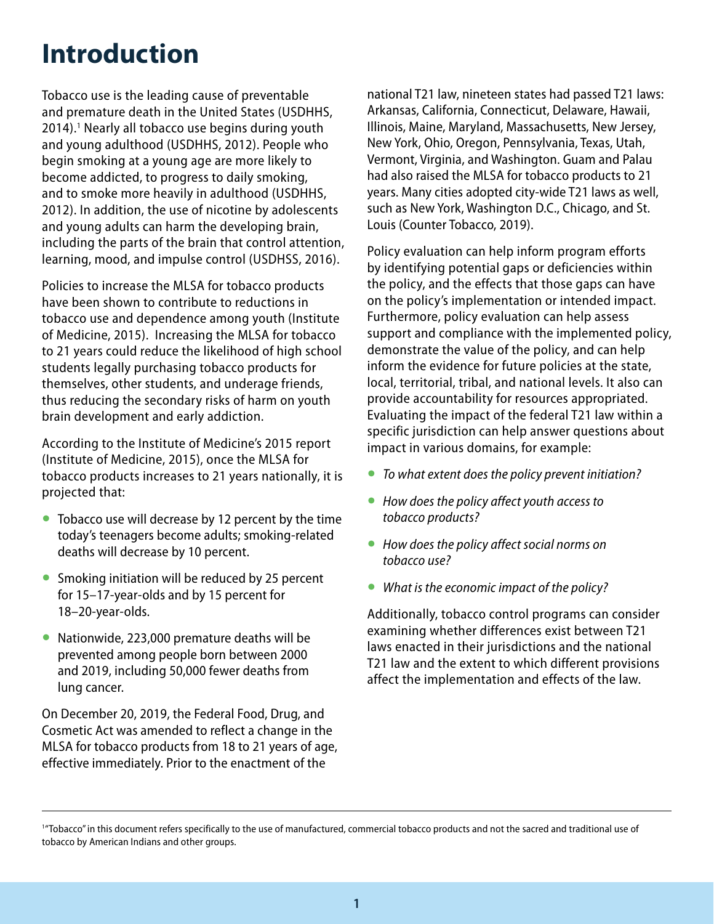# <span id="page-4-0"></span>**Introduction**

Tobacco use is the leading cause of preventable and premature death in the United States (USDHHS, 2014).<sup>1</sup> Nearly all tobacco use begins during youth and young adulthood (USDHHS, 2012). People who begin smoking at a young age are more likely to become addicted, to progress to daily smoking, and to smoke more heavily in adulthood (USDHHS, 2012). In addition, the use of nicotine by adolescents and young adults can harm the developing brain, including the parts of the brain that control attention, learning, mood, and impulse control (USDHSS, 2016).

Policies to increase the MLSA for tobacco products have been shown to contribute to reductions in tobacco use and dependence among youth (Institute of Medicine, 2015). Increasing the MLSA for tobacco to 21 years could reduce the likelihood of high school students legally purchasing tobacco products for themselves, other students, and underage friends, thus reducing the secondary risks of harm on youth brain development and early addiction.

According to the Institute of Medicine's 2015 report (Institute of Medicine, 2015), once the MLSA for tobacco products increases to 21 years nationally, it is projected that:

- Tobacco use will decrease by 12 percent by the time today's teenagers become adults; smoking-related deaths will decrease by 10 percent.
- Smoking initiation will be reduced by 25 percent for 15–17-year-olds and by 15 percent for 18–20-year-olds.
- Nationwide, 223,000 premature deaths will be prevented among people born between 2000 and 2019, including 50,000 fewer deaths from lung cancer.

On December 20, 2019, the Federal Food, Drug, and Cosmetic Act was amended to reflect a change in the MLSA for tobacco products from 18 to 21 years of age, effective immediately. Prior to the enactment of the

national T21 law, nineteen states had passed T21 laws: Arkansas, California, Connecticut, Delaware, Hawaii, Illinois, Maine, Maryland, Massachusetts, New Jersey, New York, Ohio, Oregon, Pennsylvania, Texas, Utah, Vermont, Virginia, and Washington. Guam and Palau had also raised the MLSA for tobacco products to 21 years. Many cities adopted city-wide T21 laws as well, such as New York, Washington D.C., Chicago, and St. Louis (Counter Tobacco, 2019).

Policy evaluation can help inform program efforts by identifying potential gaps or deficiencies within the policy, and the effects that those gaps can have on the policy's implementation or intended impact. Furthermore, policy evaluation can help assess support and compliance with the implemented policy, demonstrate the value of the policy, and can help inform the evidence for future policies at the state, local, territorial, tribal, and national levels. It also can provide accountability for resources appropriated. Evaluating the impact of the federal T21 law within a specific jurisdiction can help answer questions about impact in various domains, for example:

- *To what extent does the policy prevent initiation?*
- *How does the policy affect youth access to tobacco products?*
- *How does the policy affect social norms on tobacco use?*
- *What is the economic impact of the policy?*

Additionally, tobacco control programs can consider examining whether differences exist between T21 laws enacted in their jurisdictions and the national T21 law and the extent to which different provisions affect the implementation and effects of the law.

<sup>&</sup>lt;sup>1</sup>"Tobacco" in this document refers specifically to the use of manufactured, commercial tobacco products and not the sacred and traditional use of tobacco by American Indians and other groups.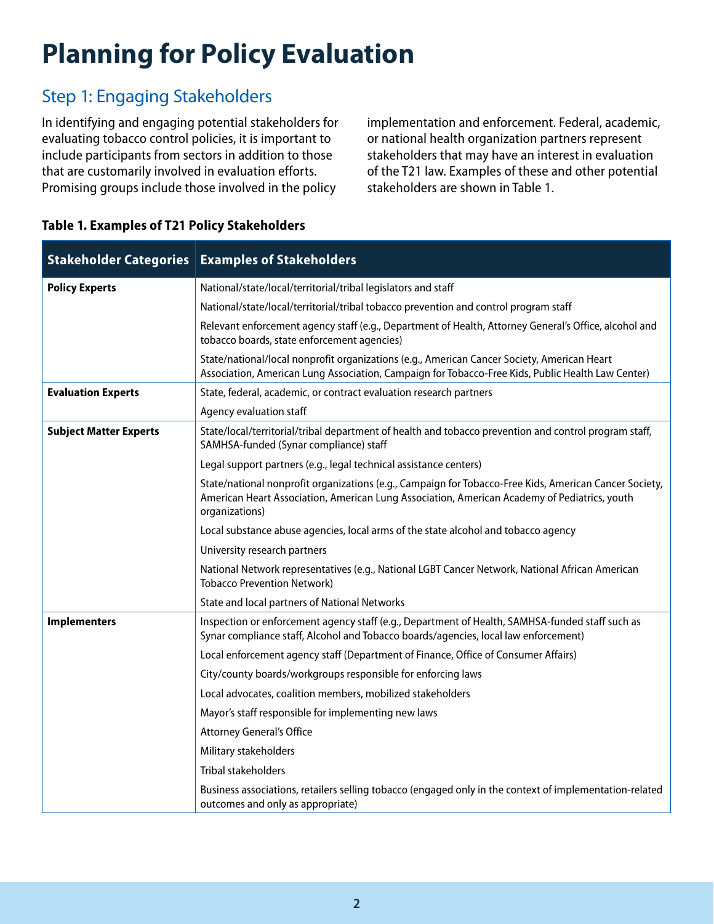# <span id="page-5-0"></span>**Planning for Policy Evaluation**

## Step 1: Engaging Stakeholders

In identifying and engaging potential stakeholders for evaluating tobacco control policies, it is important to include participants from sectors in addition to those that are customarily involved in evaluation efforts. Promising groups include those involved in the policy

implementation and enforcement. Federal, academic, or national health organization partners represent stakeholders that may have an interest in evaluation of the T21 law. Examples of these and other potential stakeholders are shown in Table 1.

| <b>Stakeholder Categories</b> | <b>Examples of Stakeholders</b>                                                                                                                                                                                          |
|-------------------------------|--------------------------------------------------------------------------------------------------------------------------------------------------------------------------------------------------------------------------|
| <b>Policy Experts</b>         | National/state/local/territorial/tribal legislators and staff                                                                                                                                                            |
|                               | National/state/local/territorial/tribal tobacco prevention and control program staff                                                                                                                                     |
|                               | Relevant enforcement agency staff (e.g., Department of Health, Attorney General's Office, alcohol and<br>tobacco boards, state enforcement agencies)                                                                     |
|                               | State/national/local nonprofit organizations (e.g., American Cancer Society, American Heart<br>Association, American Lung Association, Campaign for Tobacco-Free Kids, Public Health Law Center)                         |
| <b>Evaluation Experts</b>     | State, federal, academic, or contract evaluation research partners                                                                                                                                                       |
|                               | Agency evaluation staff                                                                                                                                                                                                  |
| <b>Subject Matter Experts</b> | State/local/territorial/tribal department of health and tobacco prevention and control program staff,<br>SAMHSA-funded (Synar compliance) staff                                                                          |
|                               | Legal support partners (e.g., legal technical assistance centers)                                                                                                                                                        |
|                               | State/national nonprofit organizations (e.g., Campaign for Tobacco-Free Kids, American Cancer Society,<br>American Heart Association, American Lung Association, American Academy of Pediatrics, youth<br>organizations) |
|                               | Local substance abuse agencies, local arms of the state alcohol and tobacco agency                                                                                                                                       |
|                               | University research partners                                                                                                                                                                                             |
|                               | National Network representatives (e.g., National LGBT Cancer Network, National African American<br><b>Tobacco Prevention Network)</b>                                                                                    |
|                               | State and local partners of National Networks                                                                                                                                                                            |
| <b>Implementers</b>           | Inspection or enforcement agency staff (e.g., Department of Health, SAMHSA-funded staff such as<br>Synar compliance staff, Alcohol and Tobacco boards/agencies, local law enforcement)                                   |
|                               | Local enforcement agency staff (Department of Finance, Office of Consumer Affairs)                                                                                                                                       |
|                               | City/county boards/workgroups responsible for enforcing laws                                                                                                                                                             |
|                               | Local advocates, coalition members, mobilized stakeholders                                                                                                                                                               |
|                               | Mayor's staff responsible for implementing new laws                                                                                                                                                                      |
|                               | <b>Attorney General's Office</b>                                                                                                                                                                                         |
|                               | Military stakeholders                                                                                                                                                                                                    |
|                               | <b>Tribal stakeholders</b>                                                                                                                                                                                               |
|                               | Business associations, retailers selling tobacco (engaged only in the context of implementation-related<br>outcomes and only as appropriate)                                                                             |

### **Table 1. Examples of T21 Policy Stakeholders**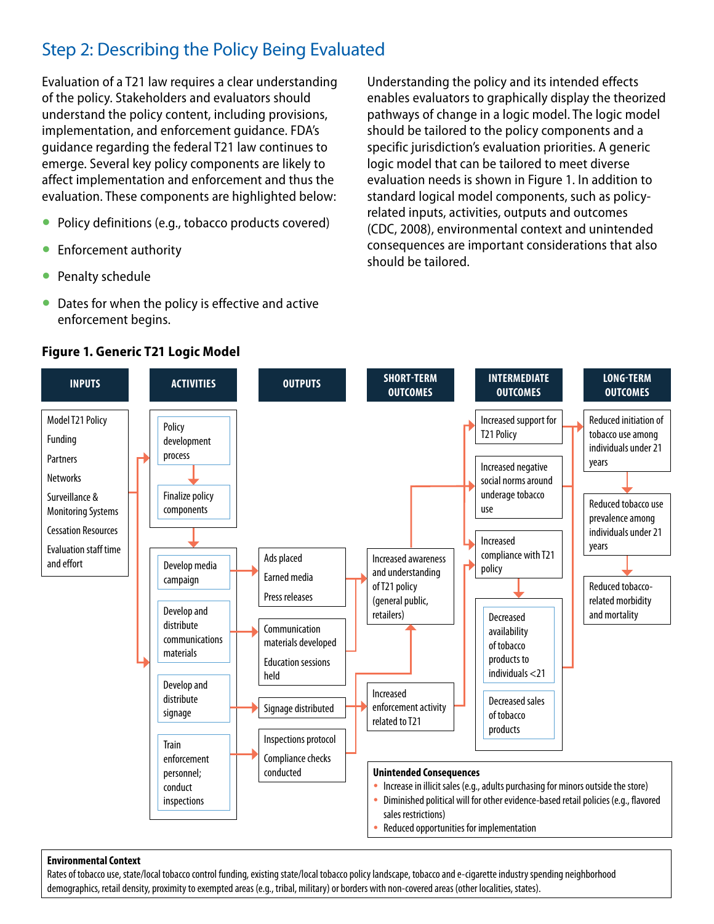## <span id="page-6-0"></span>Step 2: Describing the Policy Being Evaluated

Evaluation of a T21 law requires a clear understanding of the policy. Stakeholders and evaluators should understand the policy content, including provisions, implementation, and enforcement guidance. FDA's guidance regarding the federal T21 law continues to emerge. Several key policy components are likely to affect implementation and enforcement and thus the evaluation. These components are highlighted below:

- Policy definitions (e.g., tobacco products covered)
- **Enforcement authority**
- Penalty schedule
- Dates for when the policy is effective and active enforcement begins.

**Figure 1. Generic T21 Logic Model** 

Understanding the policy and its intended effects enables evaluators to graphically display the theorized pathways of change in a logic model. The logic model should be tailored to the policy components and a specific jurisdiction's evaluation priorities. A generic logic model that can be tailored to meet diverse evaluation needs is shown in Figure 1. In addition to standard logical model components, such as policyrelated inputs, activities, outputs and outcomes (CDC, 2008), environmental context and unintended consequences are important considerations that also should be tailored.



#### **Environmental Context**

Rates of tobacco use, state/local tobacco control funding, existing state/local tobacco policy landscape, tobacco and e-cigarette industry spending neighborhood demographics, retail density, proximity to exempted areas (e.g., tribal, military) or borders with non-covered areas (other localities, states).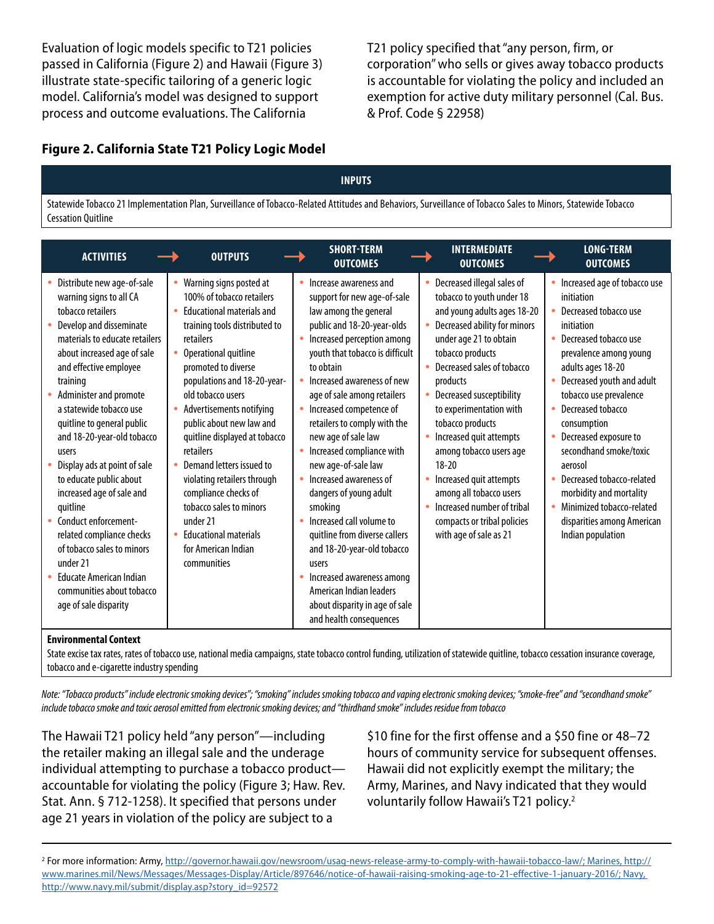<span id="page-7-0"></span>Evaluation of logic models specific to T21 policies passed in California (Figure 2) and Hawaii (Figure 3) illustrate state-specific tailoring of a generic logic model. California's model was designed to support process and outcome evaluations. The California

T21 policy specified that "any person, firm, or corporation" who sells or gives away tobacco products is accountable for violating the policy and included an exemption for active duty military personnel (Cal. Bus. & Prof. Code § 22958)

#### **Figure 2. California State T21 Policy Logic Model**

#### **INPUTS**

Statewide Tobacco 21 Implementation Plan, Surveillance of Tobacco-Related Attitudes and Behaviors, Surveillance of Tobacco Sales to Minors, Statewide Tobacco Cessation Quitline

| <b>ACTIVITIES</b>                                                                                                                                                                                                                                                                                                             | <b>OUTPUTS</b>                                                                                                                                                                                                                                                                                                                     | <b>SHORT-TERM</b><br><b>OUTCOMES</b>                                                                                                                                                                                                                                                                                                          | <b>INTERMEDIATE</b><br><b>OUTCOMES</b>                                                                                                                                                                                                                                                                               | <b>LONG-TERM</b><br><b>OUTCOMES</b>                                                                                                                                                                                                                                                        |
|-------------------------------------------------------------------------------------------------------------------------------------------------------------------------------------------------------------------------------------------------------------------------------------------------------------------------------|------------------------------------------------------------------------------------------------------------------------------------------------------------------------------------------------------------------------------------------------------------------------------------------------------------------------------------|-----------------------------------------------------------------------------------------------------------------------------------------------------------------------------------------------------------------------------------------------------------------------------------------------------------------------------------------------|----------------------------------------------------------------------------------------------------------------------------------------------------------------------------------------------------------------------------------------------------------------------------------------------------------------------|--------------------------------------------------------------------------------------------------------------------------------------------------------------------------------------------------------------------------------------------------------------------------------------------|
| Distribute new age-of-sale<br>warning signs to all CA<br>tobacco retailers<br>Develop and disseminate<br>materials to educate retailers<br>about increased age of sale<br>and effective employee<br>training<br>Administer and promote<br>a statewide tobacco use<br>quitline to general public<br>and 18-20-year-old tobacco | Warning signs posted at<br>100% of tobacco retailers<br><b>Educational materials and</b><br>training tools distributed to<br>retailers<br>Operational quitline<br>promoted to diverse<br>populations and 18-20-year-<br>old tobacco users<br>Advertisements notifying<br>public about new law and<br>quitline displayed at tobacco | Increase awareness and<br>support for new age-of-sale<br>law among the general<br>public and 18-20-year-olds<br>Increased perception among<br>youth that tobacco is difficult<br>to obtain<br>Increased awareness of new<br>age of sale among retailers<br>Increased competence of<br>retailers to comply with the<br>new age of sale law     | Decreased illegal sales of<br>tobacco to youth under 18<br>and young adults ages 18-20<br>Decreased ability for minors<br>under age 21 to obtain<br>tobacco products<br>Decreased sales of tobacco<br>products<br>Decreased susceptibility<br>to experimentation with<br>tobacco products<br>Increased quit attempts | Increased age of tobacco use<br>initiation<br>Decreased tobacco use<br>initiation<br>Decreased tobacco use<br>prevalence among young<br>adults ages 18-20<br>Decreased youth and adult<br>tobacco use prevalence<br>Decreased tobacco<br>consumption<br>Decreased exposure to<br>$\bullet$ |
| users<br>Display ads at point of sale<br>to educate public about<br>increased age of sale and<br>quitline<br>Conduct enforcement-<br>related compliance checks<br>of tobacco sales to minors<br>under 21<br><b>Educate American Indian</b><br>communities about tobacco<br>age of sale disparity                              | retailers<br>Demand letters issued to<br>violating retailers through<br>compliance checks of<br>tobacco sales to minors<br>under 21<br><b>Fducational materials</b><br>for American Indian<br>communities                                                                                                                          | Increased compliance with<br>new age-of-sale law<br>Increased awareness of<br>٠<br>dangers of young adult<br>smoking<br>Increased call volume to<br>quitline from diverse callers<br>and 18-20-year-old tobacco<br>users<br>Increased awareness among<br>American Indian leaders<br>about disparity in age of sale<br>and health consequences | among tobacco users age<br>$18 - 20$<br>Increased quit attempts<br>among all tobacco users<br>Increased number of tribal<br>compacts or tribal policies<br>with age of sale as 21                                                                                                                                    | secondhand smoke/toxic<br>aerosol<br>Decreased tobacco-related<br>$\bullet$<br>morbidity and mortality<br>Minimized tobacco-related<br>disparities among American<br>Indian population                                                                                                     |

#### **Environmental Context**

State excise tax rates, rates of tobacco use, national media campaigns, state tobacco control funding, utilization of statewide quitline, tobacco cessation insurance coverage, tobacco and e-cigarette industry spending

*Note: "Tobacco products" include electronic smoking devices"; "smoking" includes smoking tobacco and vaping electronic smoking devices; "smoke-free" and "secondhand smoke" include tobacco smoke and toxic aerosol emitted from electronic smoking devices; and "thirdhand smoke" includes residue from tobacco*

The Hawaii T21 policy held "any person"—including the retailer making an illegal sale and the underage individual attempting to purchase a tobacco product accountable for violating the policy (Figure 3; Haw. Rev. Stat. Ann. § 712-1258). It specified that persons under age 21 years in violation of the policy are subject to a

\$10 fine for the first offense and a \$50 fine or 48–72 hours of community service for subsequent offenses. Hawaii did not explicitly exempt the military; the Army, Marines, and Navy indicated that they would voluntarily follow Hawaii's T21 policy.<sup>2</sup>

2 For more information: Army, [http://governor.hawaii.gov/newsroom/usag-news-release-army-to-comply-with-hawaii-tobacco-law/;](http://governor.hawaii.gov/newsroom/usag-news-release-army-to-comply-with-hawaii-tobacco-law/) Marines, [http://](http://www.marines.mil/News/Messages/Messages-Display/Article/897646/notice-of-hawaii-raising-smoking-age-to-21-effective-1-january-2016/) [www.marines.mil/News/Messages/Messages-Display/Article/897646/notice-of-hawaii-raising-smoking-age-to-21-effective-1-january-2016/;](http://www.marines.mil/News/Messages/Messages-Display/Article/897646/notice-of-hawaii-raising-smoking-age-to-21-effective-1-january-2016/) Navy, [http://www.navy.mil/submit/display.asp?story\\_id=92572](http://www.navy.mil/submit/display.asp?story_id=92572)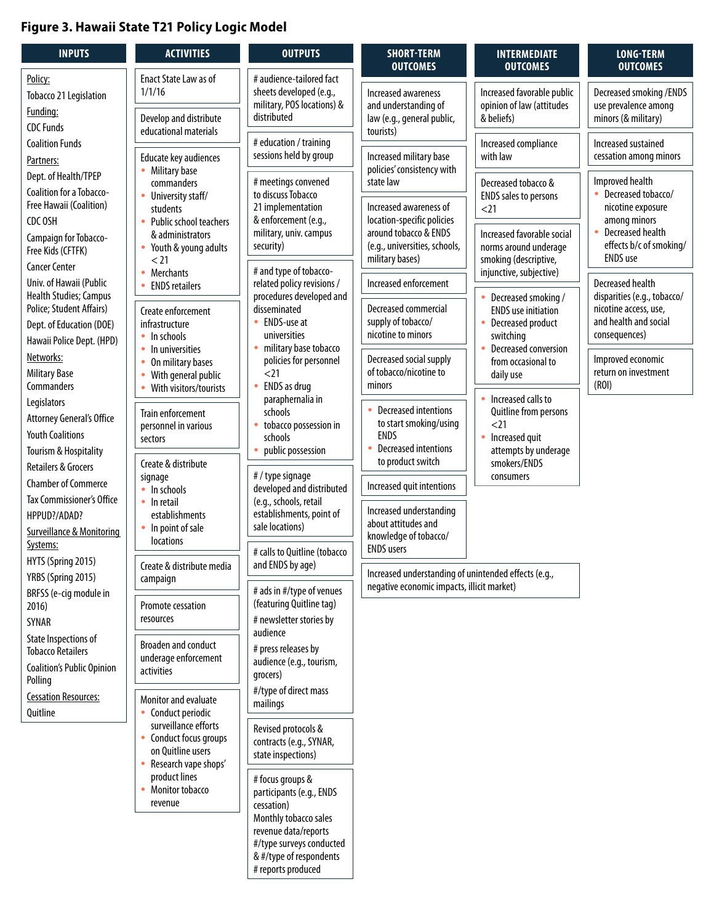### <span id="page-8-0"></span>**Figure 3. Hawaii State T21 Policy Logic Model**

| <b>INPUTS</b>                                                                                    | <b>ACTIVITIES</b>                                                                                                                                                                                                            | <b>OUTPUTS</b>                                                                                                                          | <b>SHORT-TERM</b><br><b>OUTCOMES</b>                                                                                    | <b>INTERMEDIATE</b><br><b>OUTCOMES</b>                                                        | LONG-TERM<br><b>OUTCOMES</b>                                            |
|--------------------------------------------------------------------------------------------------|------------------------------------------------------------------------------------------------------------------------------------------------------------------------------------------------------------------------------|-----------------------------------------------------------------------------------------------------------------------------------------|-------------------------------------------------------------------------------------------------------------------------|-----------------------------------------------------------------------------------------------|-------------------------------------------------------------------------|
| Policy:<br>Tobacco 21 Legislation<br>Funding:<br><b>CDC Funds</b>                                | Enact State Law as of<br>1/1/16<br>Develop and distribute                                                                                                                                                                    | # audience-tailored fact<br>sheets developed (e.g.,<br>military, POS locations) &<br>distributed                                        | Increased awareness<br>and understanding of<br>law (e.g., general public,                                               | Increased favorable public<br>opinion of law (attitudes<br>& beliefs)                         | Decreased smoking / ENDS<br>use prevalence among<br>minors (& military) |
| <b>Coalition Funds</b><br>Partners:                                                              | educational materials<br>Educate key audiences<br>Military base                                                                                                                                                              | # education / training<br>sessions held by group                                                                                        | tourists)<br>Increased military base<br>policies' consistency with                                                      | Increased compliance<br>with law                                                              | Increased sustained<br>cessation among minors                           |
| Coalition for a Tobacco-<br>Free Hawaii (Coalition)<br>CDC OSH                                   | Dept. of Health/TPEP<br># meetings convened<br>state law<br>commanders<br>to discuss Tobacco<br>University staff/<br>21 implementation<br>students<br>& enforcement (e.g.,<br>Public school teachers                         | Increased awareness of<br>location-specific policies                                                                                    | Decreased tobacco &<br><b>ENDS</b> sales to persons<br>$21$                                                             | Improved health<br>Decreased tobacco/<br>$\bullet$<br>nicotine exposure<br>among minors       |                                                                         |
| Campaign for Tobacco-<br>Free Kids (CFTFK)<br><b>Cancer Center</b>                               | & administrators<br>Youth & young adults<br>< 21                                                                                                                                                                             | military, univ. campus<br>security)<br># and type of tobacco-                                                                           | around tobacco & ENDS<br>(e.g., universities, schools,<br>military bases)                                               | Increased favorable social<br>norms around underage<br>smoking (descriptive,                  | Decreased health<br>effects b/c of smoking/<br><b>ENDS</b> use          |
| Univ. of Hawaii (Public<br>Health Studies; Campus                                                | <b>Merchants</b><br>$\bullet$<br><b>ENDS</b> retailers                                                                                                                                                                       | related policy revisions /<br>procedures developed and                                                                                  | Increased enforcement                                                                                                   | injunctive, subjective)<br>Decreased smoking /                                                | <b>Decreased health</b><br>disparities (e.g., tobacco/                  |
| Police; Student Affairs)<br>Dept. of Education (DOE)<br>Hawaii Police Dept. (HPD)                | Create enforcement<br>infrastructure<br>In schools<br>٠<br>In universities<br>۰                                                                                                                                              | disseminated<br>ENDS-use at<br>$\bullet$<br>universities<br>military base tobacco<br>۰                                                  | Decreased commercial<br>supply of tobacco/<br>nicotine to minors                                                        | <b>ENDS</b> use initiation<br>Decreased product<br>switching<br>Decreased conversion          | nicotine access, use,<br>and health and social<br>consequences)         |
| Networks:<br><b>Military Base</b><br>Commanders                                                  | On military bases<br>۰<br>With general public<br>۰<br>With visitors/tourists                                                                                                                                                 | policies for personnel<br>$21$<br>ENDS as drug                                                                                          | Decreased social supply<br>of tobacco/nicotine to<br>minors                                                             | from occasional to<br>daily use                                                               | Improved economic<br>return on investment<br>(ROI)                      |
| Legislators<br>Attorney General's Office<br><b>Youth Coalitions</b>                              | paraphernalia in<br>schools<br><b>Train enforcement</b><br>personnel in various<br>schools<br>sectors<br>public possession<br>Tourism & Hospitality<br>Create & distribute<br># / type signage<br>signage<br>In schools<br>٠ | tobacco possession in                                                                                                                   | <b>Decreased intentions</b><br>to start smoking/using<br><b>ENDS</b><br><b>Decreased intentions</b><br>$\bullet$        | Increased calls to<br>Quitline from persons<br>$21$<br>Increased quit<br>attempts by underage |                                                                         |
| Retailers & Grocers<br><b>Chamber of Commerce</b>                                                |                                                                                                                                                                                                                              | developed and distributed<br>(e.g., schools, retail<br>establishments, point of<br>sale locations)                                      | to product switch<br>Increased quit intentions                                                                          | smokers/ENDS<br>consumers                                                                     |                                                                         |
| Tax Commissioner's Office<br>HPPUD?/ADAD?<br><b>Surveillance &amp; Monitoring</b><br>Systems:    | $\bullet$ In retail<br>establishments<br>In point of sale<br>locations                                                                                                                                                       |                                                                                                                                         |                                                                                                                         | Increased understanding<br>about attitudes and<br>knowledge of tobacco/                       |                                                                         |
| HYTS (Spring 2015)<br>YRBS (Spring 2015)                                                         | Create & distribute media<br>campaign                                                                                                                                                                                        | # calls to Quitline (tobacco<br>and ENDS by age)                                                                                        | <b>ENDS</b> users<br>Increased understanding of unintended effects (e.g.,<br>negative economic impacts, illicit market) |                                                                                               |                                                                         |
| BRFSS (e-cig module in<br>2016)<br>SYNAR                                                         | Promote cessation<br>resources                                                                                                                                                                                               | # ads in #/type of venues<br>(featuring Quitline tag)<br># newsletter stories by<br>audience                                            |                                                                                                                         |                                                                                               |                                                                         |
| State Inspections of<br><b>Tobacco Retailers</b><br><b>Coalition's Public Opinion</b><br>Polling | Broaden and conduct<br>underage enforcement<br>activities                                                                                                                                                                    | # press releases by<br>audience (e.g., tourism,<br>grocers)                                                                             |                                                                                                                         |                                                                                               |                                                                         |
| <b>Cessation Resources:</b><br>Quitline                                                          | Monitor and evaluate<br>Conduct periodic                                                                                                                                                                                     | #/type of direct mass<br>mailings                                                                                                       |                                                                                                                         |                                                                                               |                                                                         |
|                                                                                                  | surveillance efforts<br>Conduct focus groups<br>on Quitline users<br>Research vape shops'                                                                                                                                    | Revised protocols &<br>contracts (e.g., SYNAR,<br>state inspections)                                                                    |                                                                                                                         |                                                                                               |                                                                         |
|                                                                                                  | product lines<br>Monitor tobacco<br>۰<br>revenue                                                                                                                                                                             | # focus groups &<br>participants (e.g., ENDS<br>cessation)<br>Monthly tobacco sales<br>revenue data/reports<br>#/type surveys conducted |                                                                                                                         |                                                                                               |                                                                         |
|                                                                                                  |                                                                                                                                                                                                                              | & #/type of respondents<br># reports produced                                                                                           |                                                                                                                         |                                                                                               |                                                                         |

 $\mathcal{L}$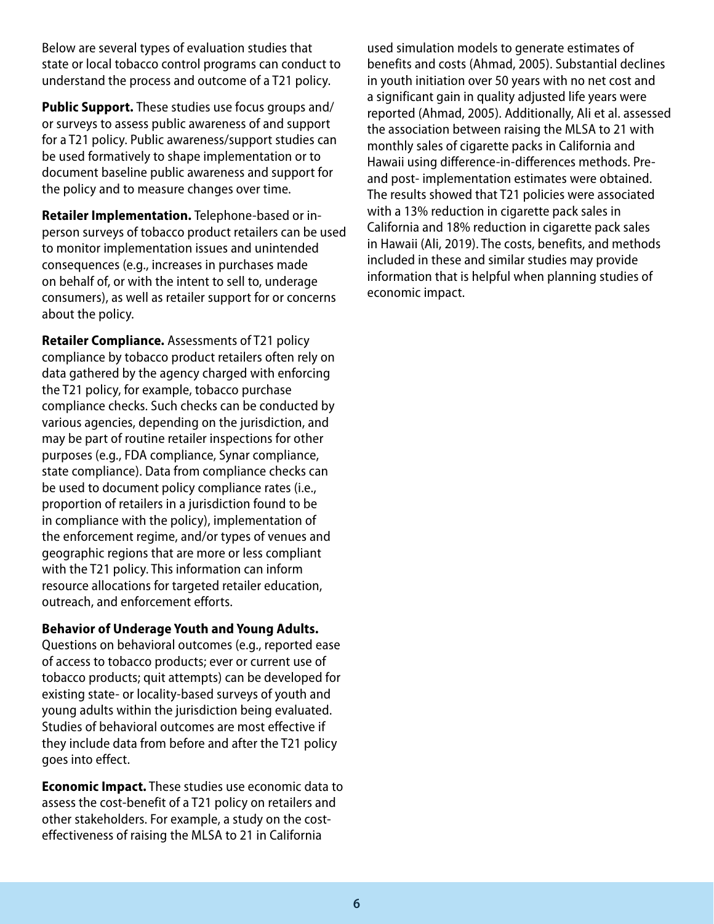Below are several types of evaluation studies that state or local tobacco control programs can conduct to understand the process and outcome of a T21 policy.

**Public Support.** These studies use focus groups and/ or surveys to assess public awareness of and support for a T21 policy. Public awareness/support studies can be used formatively to shape implementation or to document baseline public awareness and support for the policy and to measure changes over time.

**Retailer Implementation.** Telephone-based or inperson surveys of tobacco product retailers can be used to monitor implementation issues and unintended consequences (e.g., increases in purchases made on behalf of, or with the intent to sell to, underage consumers), as well as retailer support for or concerns about the policy.

**Retailer Compliance.** Assessments of T21 policy compliance by tobacco product retailers often rely on data gathered by the agency charged with enforcing the T21 policy, for example, tobacco purchase compliance checks. Such checks can be conducted by various agencies, depending on the jurisdiction, and may be part of routine retailer inspections for other purposes (e.g., FDA compliance, Synar compliance, state compliance). Data from compliance checks can be used to document policy compliance rates (i.e., proportion of retailers in a jurisdiction found to be in compliance with the policy), implementation of the enforcement regime, and/or types of venues and geographic regions that are more or less compliant with the T21 policy. This information can inform resource allocations for targeted retailer education, outreach, and enforcement efforts.

#### **Behavior of Underage Youth and Young Adults.**

Questions on behavioral outcomes (e.g., reported ease of access to tobacco products; ever or current use of tobacco products; quit attempts) can be developed for existing state- or locality-based surveys of youth and young adults within the jurisdiction being evaluated. Studies of behavioral outcomes are most effective if they include data from before and after the T21 policy goes into effect.

**Economic Impact.** These studies use economic data to assess the cost-benefit of a T21 policy on retailers and other stakeholders. For example, a study on the costeffectiveness of raising the MLSA to 21 in California

used simulation models to generate estimates of benefits and costs (Ahmad, 2005). Substantial declines in youth initiation over 50 years with no net cost and a significant gain in quality adjusted life years were reported (Ahmad, 2005). Additionally, Ali et al. assessed the association between raising the MLSA to 21 with monthly sales of cigarette packs in California and Hawaii using difference-in-differences methods. Preand post- implementation estimates were obtained. The results showed that T21 policies were associated with a 13% reduction in cigarette pack sales in California and 18% reduction in cigarette pack sales in Hawaii (Ali, 2019). The costs, benefits, and methods included in these and similar studies may provide information that is helpful when planning studies of economic impact.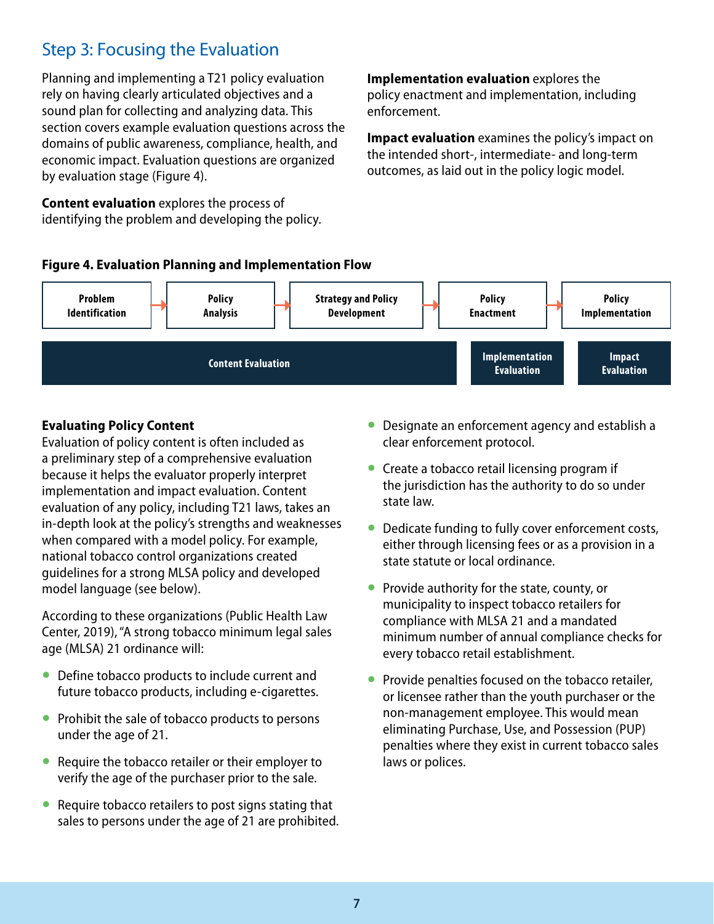## <span id="page-10-0"></span>Step 3: Focusing the Evaluation

Planning and implementing a T21 policy evaluation rely on having clearly articulated objectives and a sound plan for collecting and analyzing data. This section covers example evaluation questions across the domains of public awareness, compliance, health, and economic impact. Evaluation questions are organized by evaluation stage (Figure 4).

**Content evaluation** explores the process of identifying the problem and developing the policy. **Implementation evaluation** explores the policy enactment and implementation, including enforcement.

**Impact evaluation** examines the policy's impact on the intended short-, intermediate- and long-term outcomes, as laid out in the policy logic model.





### **Evaluating Policy Content**

Evaluation of policy content is often included as a preliminary step of a comprehensive evaluation because it helps the evaluator properly interpret implementation and impact evaluation. Content evaluation of any policy, including T21 laws, takes an in-depth look at the policy's strengths and weaknesses when compared with a model policy. For example, national tobacco control organizations created guidelines for a strong MLSA policy and developed model language (see below).

According to these organizations (Public Health Law Center, 2019), "A strong tobacco minimum legal sales age (MLSA) 21 ordinance will:

- Define tobacco products to include current and future tobacco products, including e-cigarettes.
- Prohibit the sale of tobacco products to persons under the age of 21.
- Require the tobacco retailer or their employer to verify the age of the purchaser prior to the sale.
- Require tobacco retailers to post signs stating that sales to persons under the age of 21 are prohibited.
- Designate an enforcement agency and establish a clear enforcement protocol.
- Create a tobacco retail licensing program if the jurisdiction has the authority to do so under state law.
- Dedicate funding to fully cover enforcement costs, either through licensing fees or as a provision in a state statute or local ordinance.
- Provide authority for the state, county, or municipality to inspect tobacco retailers for compliance with MLSA 21 and a mandated minimum number of annual compliance checks for every tobacco retail establishment.
- Provide penalties focused on the tobacco retailer, or licensee rather than the youth purchaser or the non-management employee. This would mean eliminating Purchase, Use, and Possession (PUP) penalties where they exist in current tobacco sales laws or polices.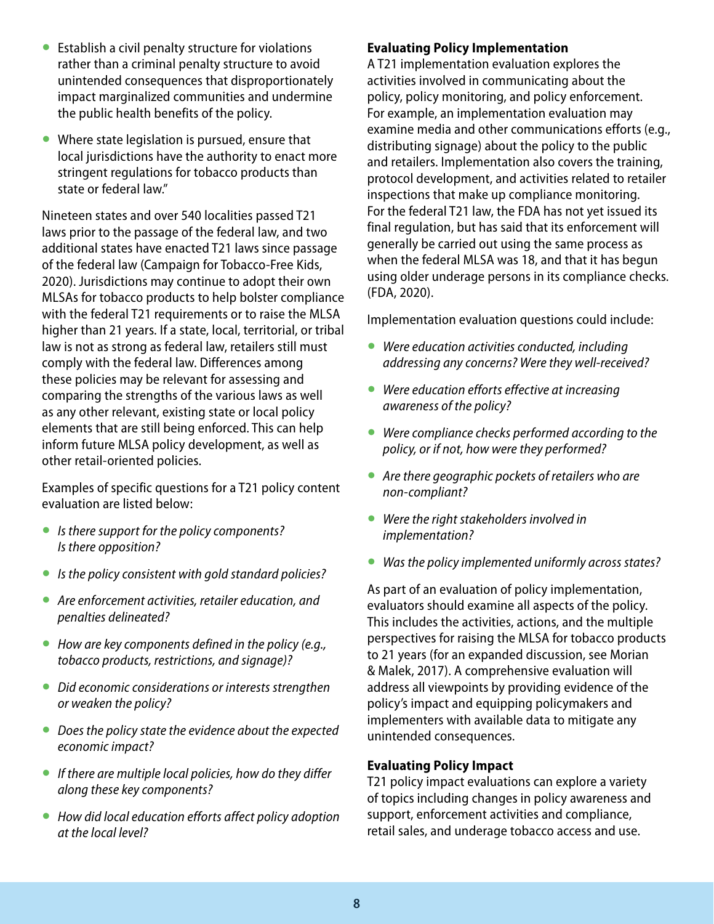- <span id="page-11-0"></span>● Establish a civil penalty structure for violations rather than a criminal penalty structure to avoid unintended consequences that disproportionately impact marginalized communities and undermine the public health benefits of the policy.
- Where state legislation is pursued, ensure that local jurisdictions have the authority to enact more stringent regulations for tobacco products than state or federal law."

Nineteen states and over 540 localities passed T21 laws prior to the passage of the federal law, and two additional states have enacted T21 laws since passage of the federal law (Campaign for Tobacco-Free Kids, 2020). Jurisdictions may continue to adopt their own MLSAs for tobacco products to help bolster compliance with the federal T21 requirements or to raise the MLSA higher than 21 years. If a state, local, territorial, or tribal law is not as strong as federal law, retailers still must comply with the federal law. Differences among these policies may be relevant for assessing and comparing the strengths of the various laws as well as any other relevant, existing state or local policy elements that are still being enforced. This can help inform future MLSA policy development, as well as other retail-oriented policies.

Examples of specific questions for a T21 policy content evaluation are listed below:

- *Is there support for the policy components? Is there opposition?*
- *Is the policy consistent with gold standard policies?*
- *Are enforcement activities, retailer education, and penalties delineated?*
- *How are key components defined in the policy (e.g., tobacco products, restrictions, and signage)?*
- *Did economic considerations or interests strengthen or weaken the policy?*
- *Does the policy state the evidence about the expected economic impact?*
- *If there are multiple local policies, how do they differ along these key components?*
- *How did local education efforts affect policy adoption at the local level?*

#### **Evaluating Policy Implementation**

A T21 implementation evaluation explores the activities involved in communicating about the policy, policy monitoring, and policy enforcement. For example, an implementation evaluation may examine media and other communications efforts (e.g., distributing signage) about the policy to the public and retailers. Implementation also covers the training, protocol development, and activities related to retailer inspections that make up compliance monitoring. For the federal T21 law, the FDA has not yet issued its final regulation, but has said that its enforcement will generally be carried out using the same process as when the federal MLSA was 18, and that it has begun using older underage persons in its compliance checks. (FDA, 2020).

Implementation evaluation questions could include:

- *Were education activities conducted, including addressing any concerns? Were they well-received?*
- *Were education efforts effective at increasing awareness of the policy?*
- *Were compliance checks performed according to the policy, or if not, how were they performed?*
- *Are there geographic pockets of retailers who are non-compliant?*
- *Were the right stakeholders involved in implementation?*
- *Was the policy implemented uniformly across states?*

As part of an evaluation of policy implementation, evaluators should examine all aspects of the policy. This includes the activities, actions, and the multiple perspectives for raising the MLSA for tobacco products to 21 years (for an expanded discussion, see Morian & Malek, 2017). A comprehensive evaluation will address all viewpoints by providing evidence of the policy's impact and equipping policymakers and implementers with available data to mitigate any unintended consequences.

#### **Evaluating Policy Impact**

T21 policy impact evaluations can explore a variety of topics including changes in policy awareness and support, enforcement activities and compliance, retail sales, and underage tobacco access and use.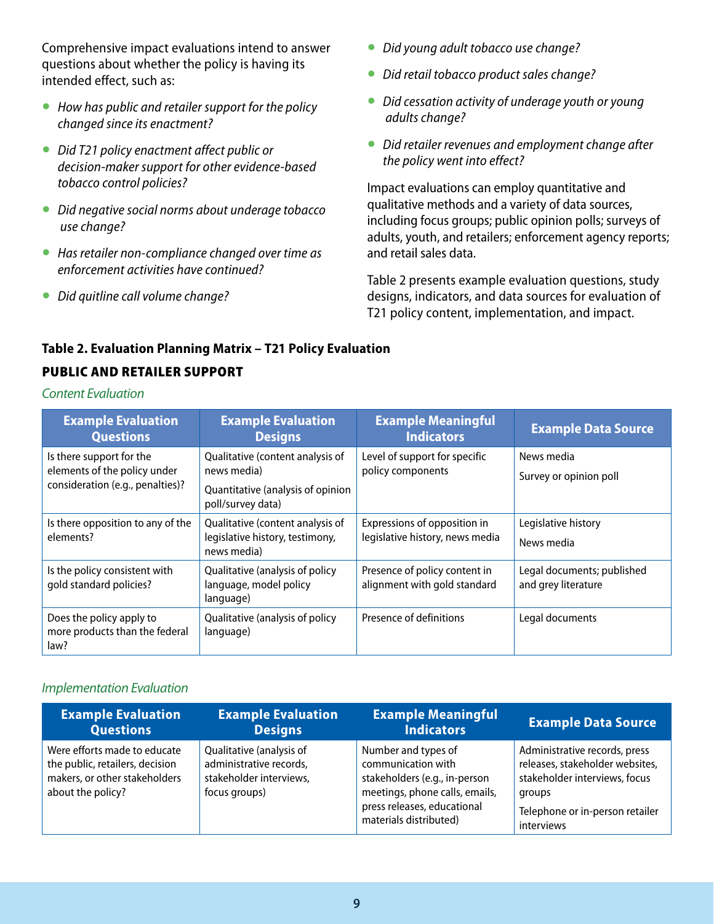<span id="page-12-0"></span>Comprehensive impact evaluations intend to answer questions about whether the policy is having its intended effect, such as:

- *How has public and retailer support for the policy changed since its enactment?*
- *Did T21 policy enactment affect public or decision-maker support for other evidence-based tobacco control policies?*
- *Did negative social norms about underage tobacco use change?*
- *Has retailer non-compliance changed over time as enforcement activities have continued?*
- *Did quitline call volume change?*
- *Did young adult tobacco use change?*
- *Did retail tobacco product sales change?*
- *Did cessation activity of underage youth or young adults change?*
- *Did retailer revenues and employment change after the policy went into effect?*

Impact evaluations can employ quantitative and qualitative methods and a variety of data sources, including focus groups; public opinion polls; surveys of adults, youth, and retailers; enforcement agency reports; and retail sales data.

Table 2 presents example evaluation questions, study designs, indicators, and data sources for evaluation of T21 policy content, implementation, and impact.

#### **Table 2. Evaluation Planning Matrix – T21 Policy Evaluation**

#### PUBLIC AND RETAILER SUPPORT

*Content Evaluation*

| <b>Example Evaluation</b><br><b>Questions</b>                                                | <b>Example Evaluation</b><br><b>Designs</b>                                                               | <b>Example Meaningful</b><br><b>Indicators</b>                  | <b>Example Data Source</b>                        |
|----------------------------------------------------------------------------------------------|-----------------------------------------------------------------------------------------------------------|-----------------------------------------------------------------|---------------------------------------------------|
| Is there support for the<br>elements of the policy under<br>consideration (e.g., penalties)? | Qualitative (content analysis of<br>news media)<br>Quantitative (analysis of opinion<br>poll/survey data) | Level of support for specific<br>policy components              | News media<br>Survey or opinion poll              |
| Is there opposition to any of the<br>elements?                                               | Qualitative (content analysis of<br>legislative history, testimony,<br>news media)                        | Expressions of opposition in<br>legislative history, news media | Legislative history<br>News media                 |
| Is the policy consistent with<br>qold standard policies?                                     | Qualitative (analysis of policy<br>language, model policy<br>language)                                    | Presence of policy content in<br>alignment with gold standard   | Legal documents; published<br>and grey literature |
| Does the policy apply to<br>more products than the federal<br>law?                           | Qualitative (analysis of policy<br>language)                                                              | Presence of definitions                                         | Legal documents                                   |

#### *Implementation Evaluation*

| <b>Example Evaluation</b>                                                                                             | <b>Example Evaluation</b>                                                                       | <b>Example Meaningful</b>                                                                                                                                             | <b>Example Data Source</b>                                                                                                                                   |
|-----------------------------------------------------------------------------------------------------------------------|-------------------------------------------------------------------------------------------------|-----------------------------------------------------------------------------------------------------------------------------------------------------------------------|--------------------------------------------------------------------------------------------------------------------------------------------------------------|
| <b>Questions</b>                                                                                                      | <b>Designs</b>                                                                                  | <b>Indicators</b>                                                                                                                                                     |                                                                                                                                                              |
| Were efforts made to educate<br>the public, retailers, decision<br>makers, or other stakeholders<br>about the policy? | Qualitative (analysis of<br>administrative records,<br>stakeholder interviews,<br>focus groups) | Number and types of<br>communication with<br>stakeholders (e.g., in-person<br>meetings, phone calls, emails,<br>press releases, educational<br>materials distributed) | Administrative records, press<br>releases, stakeholder websites,<br>stakeholder interviews, focus<br>groups<br>Telephone or in-person retailer<br>interviews |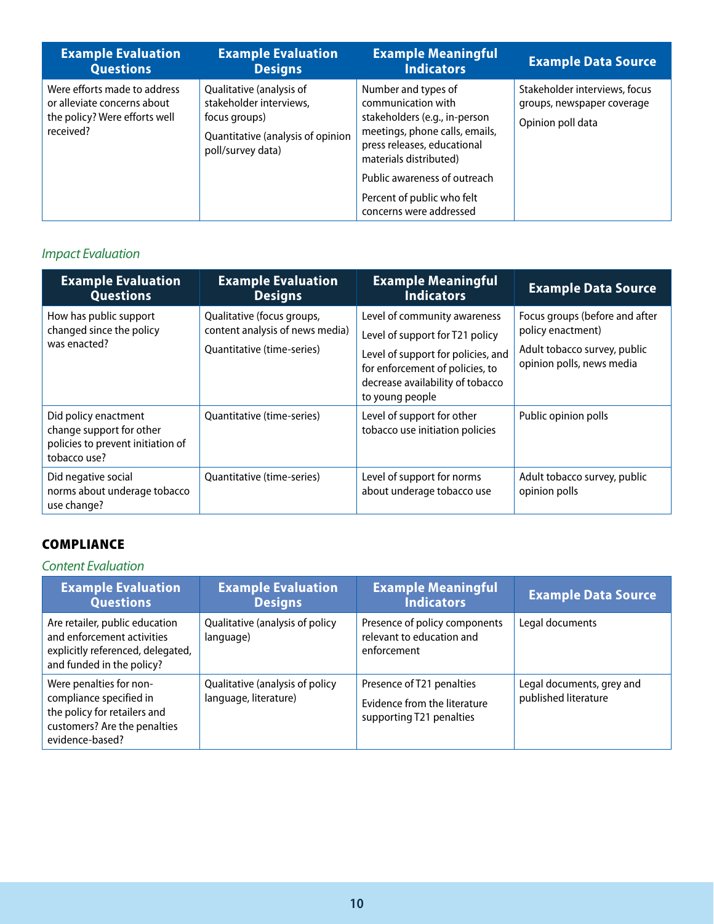| <b>Example Evaluation</b>                                                                                 | <b>Example Evaluation</b>                                                                                                      | <b>Example Meaningful</b>                                                                                                                                                                                                                                      | <b>Example Data Source</b>                                                       |
|-----------------------------------------------------------------------------------------------------------|--------------------------------------------------------------------------------------------------------------------------------|----------------------------------------------------------------------------------------------------------------------------------------------------------------------------------------------------------------------------------------------------------------|----------------------------------------------------------------------------------|
| <b>Questions</b>                                                                                          | <b>Designs</b>                                                                                                                 | <b>Indicators</b>                                                                                                                                                                                                                                              |                                                                                  |
| Were efforts made to address<br>or alleviate concerns about<br>the policy? Were efforts well<br>received? | Qualitative (analysis of<br>stakeholder interviews,<br>focus groups)<br>Quantitative (analysis of opinion<br>poll/survey data) | Number and types of<br>communication with<br>stakeholders (e.g., in-person<br>meetings, phone calls, emails,<br>press releases, educational<br>materials distributed)<br>Public awareness of outreach<br>Percent of public who felt<br>concerns were addressed | Stakeholder interviews, focus<br>groups, newspaper coverage<br>Opinion poll data |

## *Impact Evaluation*

| <b>Example Evaluation</b><br><b>Questions</b>                                                         | <b>Example Evaluation</b><br><b>Designs</b>                                                 | <b>Example Meaningful</b><br><b>Indicators</b>                                                                                                                                                  | <b>Example Data Source</b>                                                                                       |
|-------------------------------------------------------------------------------------------------------|---------------------------------------------------------------------------------------------|-------------------------------------------------------------------------------------------------------------------------------------------------------------------------------------------------|------------------------------------------------------------------------------------------------------------------|
| How has public support<br>changed since the policy<br>was enacted?                                    | Qualitative (focus groups,<br>content analysis of news media)<br>Quantitative (time-series) | Level of community awareness<br>Level of support for T21 policy<br>Level of support for policies, and<br>for enforcement of policies, to<br>decrease availability of tobacco<br>to young people | Focus groups (before and after<br>policy enactment)<br>Adult tobacco survey, public<br>opinion polls, news media |
| Did policy enactment<br>change support for other<br>policies to prevent initiation of<br>tobacco use? | Quantitative (time-series)                                                                  | Level of support for other<br>tobacco use initiation policies                                                                                                                                   | Public opinion polls                                                                                             |
| Did negative social<br>norms about underage tobacco<br>use change?                                    | Quantitative (time-series)                                                                  | Level of support for norms<br>about underage tobacco use                                                                                                                                        | Adult tobacco survey, public<br>opinion polls                                                                    |

### **COMPLIANCE**

#### *Content Evaluation*

| <b>Example Evaluation</b><br><b>Questions</b>                                                                                         | <b>Example Evaluation</b><br><b>Designs</b>              | <b>Example Meaningful</b><br><b>Indicators</b>                                        | <b>Example Data Source</b>                        |
|---------------------------------------------------------------------------------------------------------------------------------------|----------------------------------------------------------|---------------------------------------------------------------------------------------|---------------------------------------------------|
| Are retailer, public education<br>and enforcement activities<br>explicitly referenced, delegated,<br>and funded in the policy?        | Qualitative (analysis of policy<br>language)             | Presence of policy components<br>relevant to education and<br>enforcement             | Legal documents                                   |
| Were penalties for non-<br>compliance specified in<br>the policy for retailers and<br>customers? Are the penalties<br>evidence-based? | Qualitative (analysis of policy<br>language, literature) | Presence of T21 penalties<br>Evidence from the literature<br>supporting T21 penalties | Legal documents, grey and<br>published literature |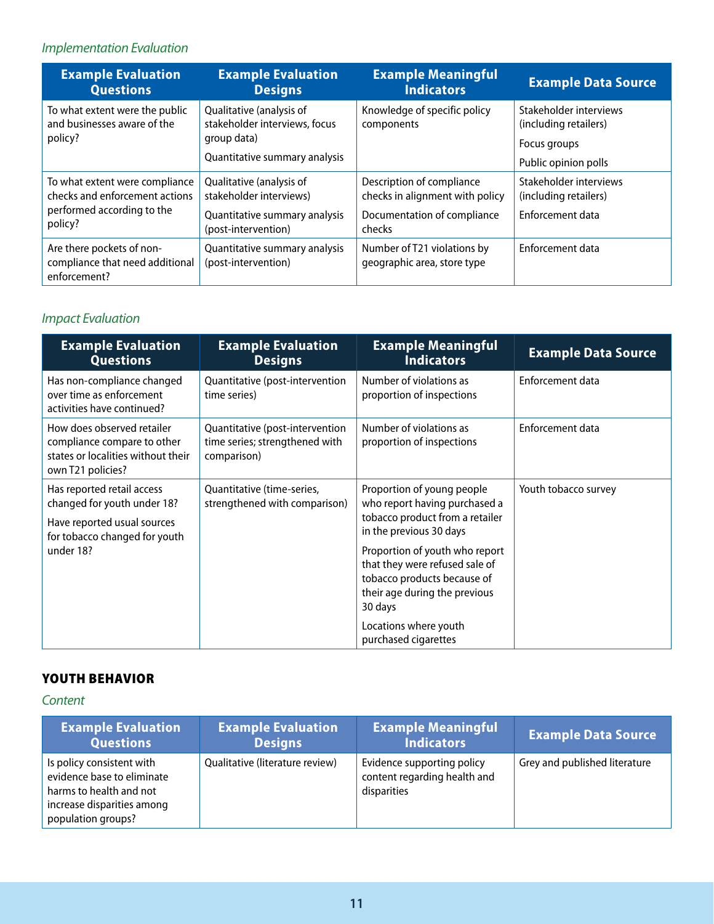## *Implementation Evaluation*

| <b>Example Evaluation</b><br><b>Questions</b>                                                  | <b>Example Evaluation</b><br><b>Designs</b>                              | <b>Example Meaningful</b><br><b>Indicators</b>               | <b>Example Data Source</b>                      |
|------------------------------------------------------------------------------------------------|--------------------------------------------------------------------------|--------------------------------------------------------------|-------------------------------------------------|
| To what extent were the public<br>and businesses aware of the<br>policy?                       | Qualitative (analysis of<br>stakeholder interviews, focus<br>group data) | Knowledge of specific policy<br>components                   | Stakeholder interviews<br>(including retailers) |
|                                                                                                | Quantitative summary analysis                                            |                                                              | Focus groups<br>Public opinion polls            |
| To what extent were compliance<br>checks and enforcement actions<br>performed according to the | Qualitative (analysis of<br>stakeholder interviews)                      | Description of compliance<br>checks in alignment with policy | Stakeholder interviews<br>(including retailers) |
| policy?                                                                                        | Quantitative summary analysis<br>(post-intervention)                     | Documentation of compliance<br>checks                        | Enforcement data                                |
| Are there pockets of non-<br>compliance that need additional<br>enforcement?                   | Quantitative summary analysis<br>(post-intervention)                     | Number of T21 violations by<br>geographic area, store type   | Enforcement data                                |

## *Impact Evaluation*

| <b>Example Evaluation</b><br><b>Questions</b>                                                                             | <b>Example Evaluation</b><br><b>Designs</b>                                      | <b>Example Meaningful</b><br><b>Indicators</b>                                                                                              | <b>Example Data Source</b> |
|---------------------------------------------------------------------------------------------------------------------------|----------------------------------------------------------------------------------|---------------------------------------------------------------------------------------------------------------------------------------------|----------------------------|
| Has non-compliance changed<br>over time as enforcement<br>activities have continued?                                      | Quantitative (post-intervention<br>time series)                                  | Number of violations as<br>proportion of inspections                                                                                        | Enforcement data           |
| How does observed retailer<br>compliance compare to other<br>states or localities without their<br>own T21 policies?      | Quantitative (post-intervention<br>time series; strengthened with<br>comparison) | Number of violations as<br>proportion of inspections                                                                                        | Enforcement data           |
| Has reported retail access<br>changed for youth under 18?<br>Have reported usual sources<br>for tobacco changed for youth | Quantitative (time-series,<br>strengthened with comparison)                      | Proportion of young people<br>who report having purchased a<br>tobacco product from a retailer<br>in the previous 30 days                   | Youth tobacco survey       |
| under 18?                                                                                                                 |                                                                                  | Proportion of youth who report<br>that they were refused sale of<br>tobacco products because of<br>their age during the previous<br>30 days |                            |
|                                                                                                                           |                                                                                  | Locations where youth<br>purchased cigarettes                                                                                               |                            |

### YOUTH BEHAVIOR

#### *Content*

| <b>Example Evaluation</b>                                                                                                              | <b>Example Evaluation</b>       | <b>Example Meaningful</b>                                                 | <b>Example Data Source</b>    |
|----------------------------------------------------------------------------------------------------------------------------------------|---------------------------------|---------------------------------------------------------------------------|-------------------------------|
| <b>Questions</b>                                                                                                                       | <b>Designs</b>                  | <b>Indicators</b>                                                         |                               |
| Is policy consistent with<br>evidence base to eliminate<br>harms to health and not<br>increase disparities among<br>population groups? | Qualitative (literature review) | Evidence supporting policy<br>content regarding health and<br>disparities | Grey and published literature |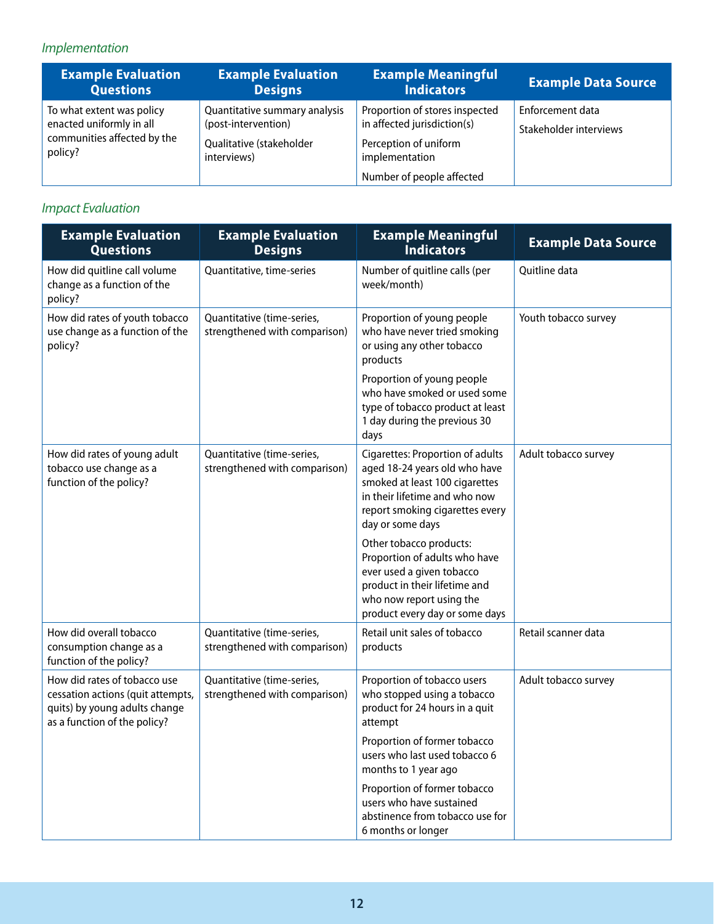## *Implementation*

| <b>Example Evaluation</b>                                                                       | <b>Example Evaluation</b>                                                                       | <b>Example Meaningful</b>                                                                                                             | <b>Example Data Source</b>                 |
|-------------------------------------------------------------------------------------------------|-------------------------------------------------------------------------------------------------|---------------------------------------------------------------------------------------------------------------------------------------|--------------------------------------------|
| <b>Questions</b>                                                                                | <b>Designs</b>                                                                                  | <b>Indicators</b>                                                                                                                     |                                            |
| To what extent was policy<br>enacted uniformly in all<br>communities affected by the<br>policy? | Quantitative summary analysis<br>(post-intervention)<br>Qualitative (stakeholder<br>interviews) | Proportion of stores inspected<br>in affected jurisdiction(s)<br>Perception of uniform<br>implementation<br>Number of people affected | Enforcement data<br>Stakeholder interviews |

## *Impact Evaluation*

| <b>Example Evaluation</b><br><b>Questions</b>                                                                                      | <b>Example Evaluation</b><br><b>Designs</b>                 | <b>Example Meaningful</b><br><b>Indicators</b>                                                                                                                                                     | <b>Example Data Source</b> |
|------------------------------------------------------------------------------------------------------------------------------------|-------------------------------------------------------------|----------------------------------------------------------------------------------------------------------------------------------------------------------------------------------------------------|----------------------------|
| How did quitline call volume<br>change as a function of the<br>policy?                                                             | Quantitative, time-series                                   | Number of quitline calls (per<br>week/month)                                                                                                                                                       |                            |
| How did rates of youth tobacco<br>use change as a function of the<br>policy?                                                       | Quantitative (time-series,<br>strengthened with comparison) | Proportion of young people<br>who have never tried smoking<br>or using any other tobacco<br>products                                                                                               | Youth tobacco survey       |
|                                                                                                                                    |                                                             | Proportion of young people<br>who have smoked or used some<br>type of tobacco product at least<br>1 day during the previous 30<br>days                                                             |                            |
| How did rates of young adult<br>tobacco use change as a<br>function of the policy?                                                 | Quantitative (time-series,<br>strengthened with comparison) | <b>Cigarettes: Proportion of adults</b><br>aged 18-24 years old who have<br>smoked at least 100 cigarettes<br>in their lifetime and who now<br>report smoking cigarettes every<br>day or some days | Adult tobacco survey       |
|                                                                                                                                    |                                                             | Other tobacco products:<br>Proportion of adults who have<br>ever used a given tobacco<br>product in their lifetime and<br>who now report using the<br>product every day or some days               |                            |
| How did overall tobacco<br>consumption change as a<br>function of the policy?                                                      | Quantitative (time-series,<br>strengthened with comparison) | Retail unit sales of tobacco<br>products                                                                                                                                                           | Retail scanner data        |
| How did rates of tobacco use<br>cessation actions (quit attempts,<br>quits) by young adults change<br>as a function of the policy? | Quantitative (time-series,<br>strengthened with comparison) | Proportion of tobacco users<br>who stopped using a tobacco<br>product for 24 hours in a quit<br>attempt                                                                                            | Adult tobacco survey       |
|                                                                                                                                    |                                                             | Proportion of former tobacco<br>users who last used tobacco 6<br>months to 1 year ago                                                                                                              |                            |
|                                                                                                                                    |                                                             | Proportion of former tobacco<br>users who have sustained<br>abstinence from tobacco use for<br>6 months or longer                                                                                  |                            |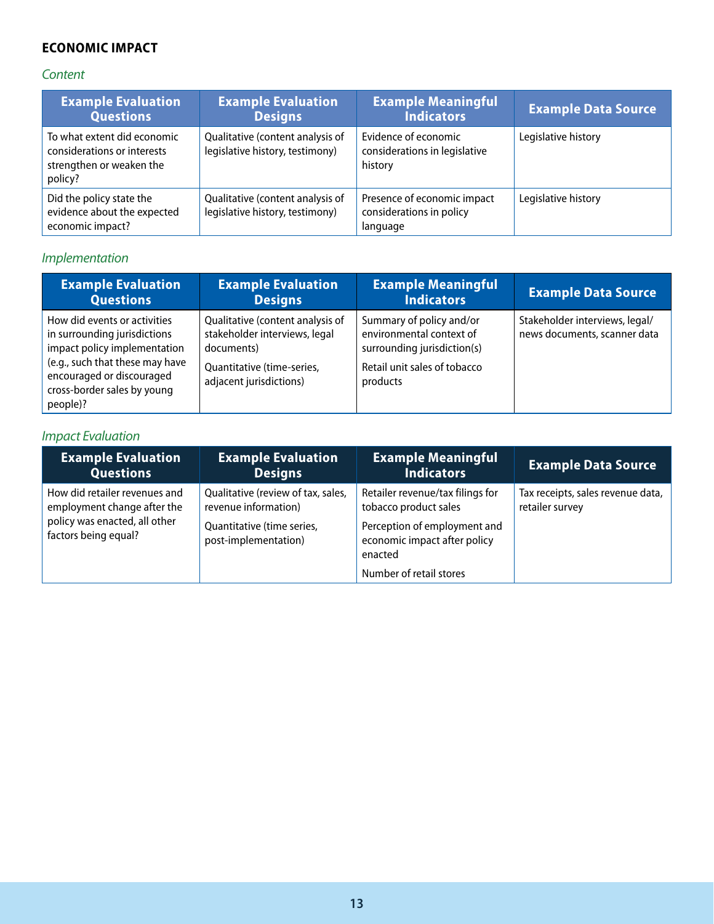### **ECONOMIC IMPACT**

### *Content*

| <b>Example Evaluation</b><br><b>Questions</b>                                                     | <b>Example Evaluation</b><br><b>Designs</b>                         | <b>Example Meaningful</b><br><b>Indicators</b>                      | <b>Example Data Source</b> |
|---------------------------------------------------------------------------------------------------|---------------------------------------------------------------------|---------------------------------------------------------------------|----------------------------|
| To what extent did economic<br>considerations or interests<br>strengthen or weaken the<br>policy? | Qualitative (content analysis of<br>legislative history, testimony) | Evidence of economic<br>considerations in legislative<br>history    | Legislative history        |
| Did the policy state the<br>evidence about the expected<br>economic impact?                       | Qualitative (content analysis of<br>legislative history, testimony) | Presence of economic impact<br>considerations in policy<br>language | Legislative history        |

## *Implementation*

| <b>Example Evaluation</b>                                                                                                                                                                               | <b>Example Evaluation</b>                                                                                                                | <b>Example Meaningful</b>                                                                                                       | <b>Example Data Source</b>                                     |
|---------------------------------------------------------------------------------------------------------------------------------------------------------------------------------------------------------|------------------------------------------------------------------------------------------------------------------------------------------|---------------------------------------------------------------------------------------------------------------------------------|----------------------------------------------------------------|
| <b>Questions</b>                                                                                                                                                                                        | <b>Designs</b>                                                                                                                           | <b>Indicators</b>                                                                                                               |                                                                |
| How did events or activities<br>in surrounding jurisdictions<br>impact policy implementation<br>(e.g., such that these may have<br>encouraged or discouraged<br>cross-border sales by young<br>people)? | Qualitative (content analysis of<br>stakeholder interviews, legal<br>documents)<br>Quantitative (time-series,<br>adjacent jurisdictions) | Summary of policy and/or<br>environmental context of<br>surrounding jurisdiction(s)<br>Retail unit sales of tobacco<br>products | Stakeholder interviews, legal/<br>news documents, scanner data |

### *Impact Evaluation*

| <b>Example Evaluation</b>                                                                                             | <b>Example Evaluation</b>                                                                                        | <b>Example Meaningful</b>                                                                                                                                       | <b>Example Data Source</b>                           |
|-----------------------------------------------------------------------------------------------------------------------|------------------------------------------------------------------------------------------------------------------|-----------------------------------------------------------------------------------------------------------------------------------------------------------------|------------------------------------------------------|
| <b>Questions</b>                                                                                                      | <b>Designs</b>                                                                                                   | <b>Indicators</b>                                                                                                                                               |                                                      |
| How did retailer revenues and<br>employment change after the<br>policy was enacted, all other<br>factors being equal? | Qualitative (review of tax, sales,<br>revenue information)<br>Quantitative (time series,<br>post-implementation) | Retailer revenue/tax filings for<br>tobacco product sales<br>Perception of employment and<br>economic impact after policy<br>enacted<br>Number of retail stores | Tax receipts, sales revenue data,<br>retailer survey |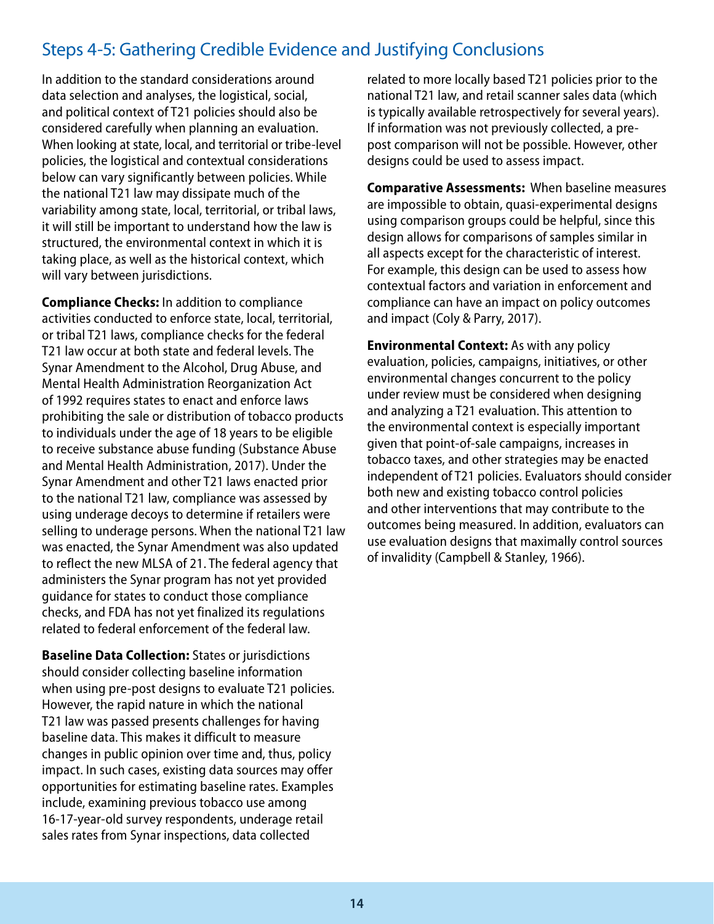## <span id="page-17-0"></span>Steps 4-5: Gathering Credible Evidence and Justifying Conclusions

In addition to the standard considerations around data selection and analyses, the logistical, social, and political context of T21 policies should also be considered carefully when planning an evaluation. When looking at state, local, and territorial or tribe-level policies, the logistical and contextual considerations below can vary significantly between policies. While the national T21 law may dissipate much of the variability among state, local, territorial, or tribal laws, it will still be important to understand how the law is structured, the environmental context in which it is taking place, as well as the historical context, which will vary between jurisdictions.

**Compliance Checks:** In addition to compliance activities conducted to enforce state, local, territorial, or tribal T21 laws, compliance checks for the federal T21 law occur at both state and federal levels. The Synar Amendment to the Alcohol, Drug Abuse, and Mental Health Administration Reorganization Act of 1992 requires states to enact and enforce laws prohibiting the sale or distribution of tobacco products to individuals under the age of 18 years to be eligible to receive substance abuse funding (Substance Abuse and Mental Health Administration, 2017). Under the Synar Amendment and other T21 laws enacted prior to the national T21 law, compliance was assessed by using underage decoys to determine if retailers were selling to underage persons. When the national T21 law was enacted, the Synar Amendment was also updated to reflect the new MLSA of 21. The federal agency that administers the Synar program has not yet provided guidance for states to conduct those compliance checks, and FDA has not yet finalized its regulations related to federal enforcement of the federal law.

**Baseline Data Collection:** States or jurisdictions should consider collecting baseline information when using pre-post designs to evaluate T21 policies. However, the rapid nature in which the national T21 law was passed presents challenges for having baseline data. This makes it difficult to measure changes in public opinion over time and, thus, policy impact. In such cases, existing data sources may offer opportunities for estimating baseline rates. Examples include, examining previous tobacco use among 16-17-year-old survey respondents, underage retail sales rates from Synar inspections, data collected

related to more locally based T21 policies prior to the national T21 law, and retail scanner sales data (which is typically available retrospectively for several years). If information was not previously collected, a prepost comparison will not be possible. However, other designs could be used to assess impact.

**Comparative Assessments:** When baseline measures are impossible to obtain, quasi-experimental designs using comparison groups could be helpful, since this design allows for comparisons of samples similar in all aspects except for the characteristic of interest. For example, this design can be used to assess how contextual factors and variation in enforcement and compliance can have an impact on policy outcomes and impact (Coly & Parry, 2017).

**Environmental Context:** As with any policy evaluation, policies, campaigns, initiatives, or other environmental changes concurrent to the policy under review must be considered when designing and analyzing a T21 evaluation. This attention to the environmental context is especially important given that point-of-sale campaigns, increases in tobacco taxes, and other strategies may be enacted independent of T21 policies. Evaluators should consider both new and existing tobacco control policies and other interventions that may contribute to the outcomes being measured. In addition, evaluators can use evaluation designs that maximally control sources of invalidity (Campbell & Stanley, 1966).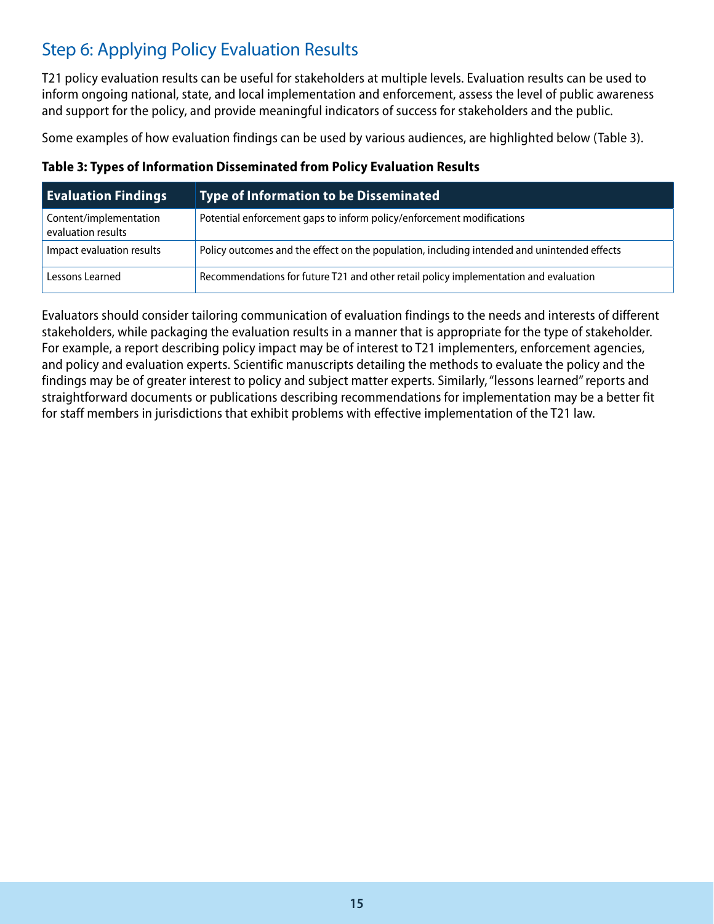## <span id="page-18-0"></span>Step 6: Applying Policy Evaluation Results

T21 policy evaluation results can be useful for stakeholders at multiple levels. Evaluation results can be used to inform ongoing national, state, and local implementation and enforcement, assess the level of public awareness and support for the policy, and provide meaningful indicators of success for stakeholders and the public.

Some examples of how evaluation findings can be used by various audiences, are highlighted below (Table 3).

|  | Table 3: Types of Information Disseminated from Policy Evaluation Results |  |  |
|--|---------------------------------------------------------------------------|--|--|
|  |                                                                           |  |  |

| <b>Evaluation Findings</b>                   | <u>Type of In</u> formation to be Disseminated ,                                            |
|----------------------------------------------|---------------------------------------------------------------------------------------------|
| Content/implementation<br>evaluation results | Potential enforcement gaps to inform policy/enforcement modifications                       |
| Impact evaluation results                    | Policy outcomes and the effect on the population, including intended and unintended effects |
| Lessons Learned                              | Recommendations for future T21 and other retail policy implementation and evaluation        |

Evaluators should consider tailoring communication of evaluation findings to the needs and interests of different stakeholders, while packaging the evaluation results in a manner that is appropriate for the type of stakeholder. For example, a report describing policy impact may be of interest to T21 implementers, enforcement agencies, and policy and evaluation experts. Scientific manuscripts detailing the methods to evaluate the policy and the findings may be of greater interest to policy and subject matter experts. Similarly, "lessons learned" reports and straightforward documents or publications describing recommendations for implementation may be a better fit for staff members in jurisdictions that exhibit problems with effective implementation of the T21 law.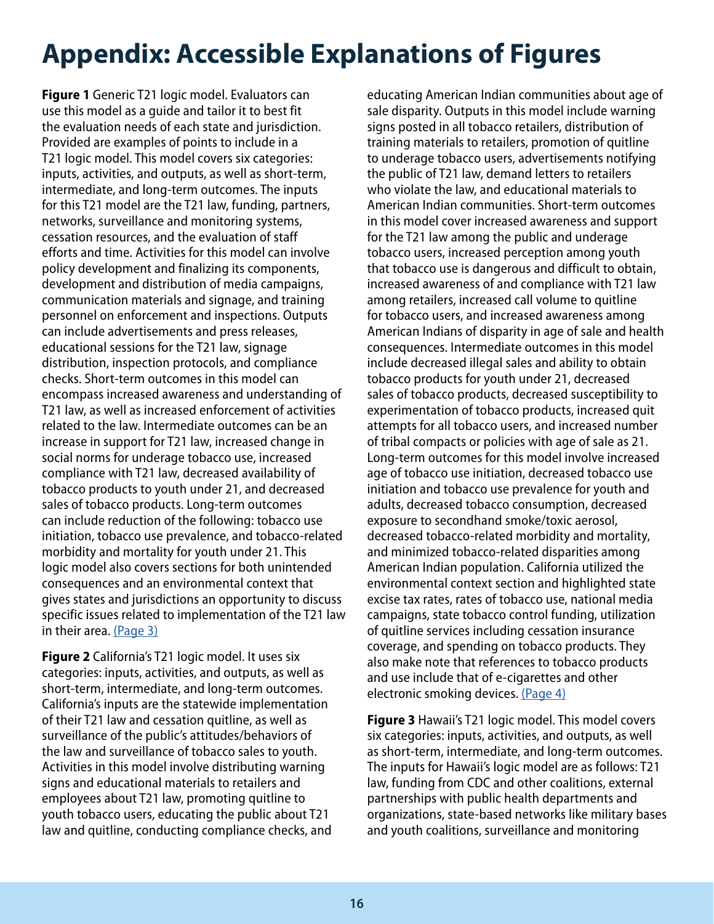# <span id="page-19-0"></span>**Appendix: Accessible Explanations of Figures**

**Figure 1** Generic T21 logic model. Evaluators can use this model as a guide and tailor it to best fit the evaluation needs of each state and jurisdiction. Provided are examples of points to include in a T21 logic model. This model covers six categories: inputs, activities, and outputs, as well as short-term, intermediate, and long-term outcomes. The inputs for this T21 model are the T21 law, funding, partners, networks, surveillance and monitoring systems, cessation resources, and the evaluation of staff efforts and time. Activities for this model can involve policy development and finalizing its components, development and distribution of media campaigns, communication materials and signage, and training personnel on enforcement and inspections. Outputs can include advertisements and press releases, educational sessions for the T21 law, signage distribution, inspection protocols, and compliance checks. Short-term outcomes in this model can encompass increased awareness and understanding of T21 law, as well as increased enforcement of activities related to the law. Intermediate outcomes can be an increase in support for T21 law, increased change in social norms for underage tobacco use, increased compliance with T21 law, decreased availability of tobacco products to youth under 21, and decreased sales of tobacco products. Long-term outcomes can include reduction of the following: tobacco use initiation, tobacco use prevalence, and tobacco-related morbidity and mortality for youth under 21. This logic model also covers sections for both unintended consequences and an environmental context that gives states and jurisdictions an opportunity to discuss specific issues related to implementation of the T21 law in their area. [\(Page 3\)](#page-6-0)

**Figure 2** California's T21 logic model. It uses six categories: inputs, activities, and outputs, as well as short-term, intermediate, and long-term outcomes. California's inputs are the statewide implementation of their T21 law and cessation quitline, as well as surveillance of the public's attitudes/behaviors of the law and surveillance of tobacco sales to youth. Activities in this model involve distributing warning signs and educational materials to retailers and employees about T21 law, promoting quitline to youth tobacco users, educating the public about T21 law and quitline, conducting compliance checks, and educating American Indian communities about age of sale disparity. Outputs in this model include warning signs posted in all tobacco retailers, distribution of training materials to retailers, promotion of quitline to underage tobacco users, advertisements notifying the public of T21 law, demand letters to retailers who violate the law, and educational materials to American Indian communities. Short-term outcomes in this model cover increased awareness and support for the T21 law among the public and underage tobacco users, increased perception among youth that tobacco use is dangerous and difficult to obtain, increased awareness of and compliance with T21 law among retailers, increased call volume to quitline for tobacco users, and increased awareness among American Indians of disparity in age of sale and health consequences. Intermediate outcomes in this model include decreased illegal sales and ability to obtain tobacco products for youth under 21, decreased sales of tobacco products, decreased susceptibility to experimentation of tobacco products, increased quit attempts for all tobacco users, and increased number of tribal compacts or policies with age of sale as 21. Long-term outcomes for this model involve increased age of tobacco use initiation, decreased tobacco use initiation and tobacco use prevalence for youth and adults, decreased tobacco consumption, decreased exposure to secondhand smoke/toxic aerosol, decreased tobacco-related morbidity and mortality, and minimized tobacco-related disparities among American Indian population. California utilized the environmental context section and highlighted state excise tax rates, rates of tobacco use, national media campaigns, state tobacco control funding, utilization of quitline services including cessation insurance coverage, and spending on tobacco products. They also make note that references to tobacco products and use include that of e-cigarettes and other electronic smoking devices. [\(Page 4\)](#page-7-0)

**Figure 3** Hawaii's T21 logic model. This model covers six categories: inputs, activities, and outputs, as well as short-term, intermediate, and long-term outcomes. The inputs for Hawaii's logic model are as follows: T21 law, funding from CDC and other coalitions, external partnerships with public health departments and organizations, state-based networks like military bases and youth coalitions, surveillance and monitoring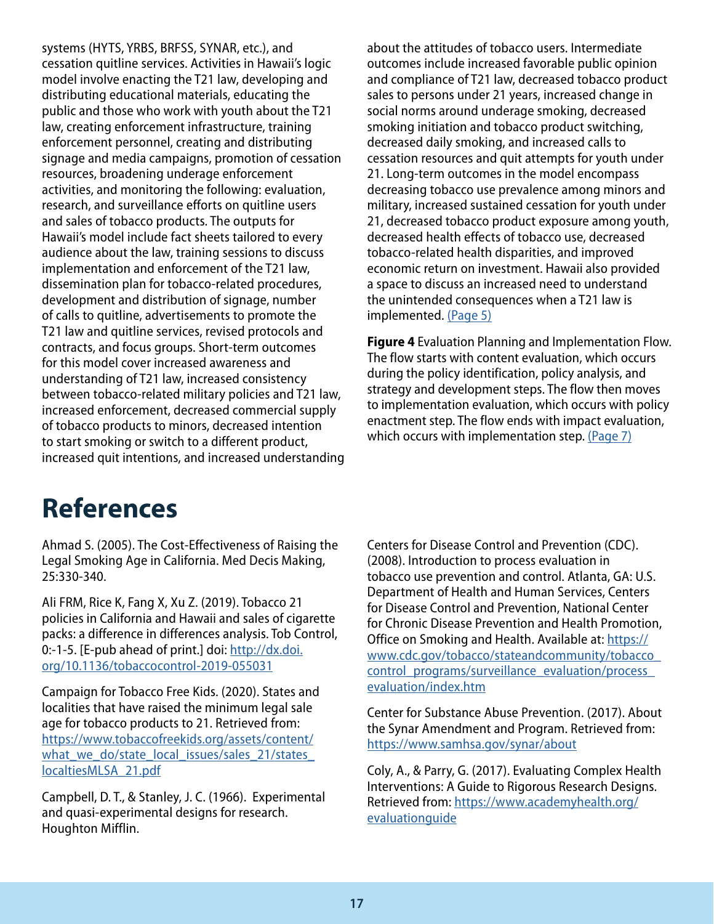<span id="page-20-0"></span>systems (HYTS, YRBS, BRFSS, SYNAR, etc.), and cessation quitline services. Activities in Hawaii's logic model involve enacting the T21 law, developing and distributing educational materials, educating the public and those who work with youth about the T21 law, creating enforcement infrastructure, training enforcement personnel, creating and distributing signage and media campaigns, promotion of cessation resources, broadening underage enforcement activities, and monitoring the following: evaluation, research, and surveillance efforts on quitline users and sales of tobacco products. The outputs for Hawaii's model include fact sheets tailored to every audience about the law, training sessions to discuss implementation and enforcement of the T21 law, dissemination plan for tobacco-related procedures, development and distribution of signage, number of calls to quitline, advertisements to promote the T21 law and quitline services, revised protocols and contracts, and focus groups. Short-term outcomes for this model cover increased awareness and understanding of T21 law, increased consistency between tobacco-related military policies and T21 law, increased enforcement, decreased commercial supply of tobacco products to minors, decreased intention to start smoking or switch to a different product, increased quit intentions, and increased understanding

about the attitudes of tobacco users. Intermediate outcomes include increased favorable public opinion and compliance of T21 law, decreased tobacco product sales to persons under 21 years, increased change in social norms around underage smoking, decreased smoking initiation and tobacco product switching, decreased daily smoking, and increased calls to cessation resources and quit attempts for youth under 21. Long-term outcomes in the model encompass decreasing tobacco use prevalence among minors and military, increased sustained cessation for youth under 21, decreased tobacco product exposure among youth, decreased health effects of tobacco use, decreased tobacco-related health disparities, and improved economic return on investment. Hawaii also provided a space to discuss an increased need to understand the unintended consequences when a T21 law is implemented. [\(Page 5\)](#page-8-0)

**Figure 4** Evaluation Planning and Implementation Flow. The flow starts with content evaluation, which occurs during the policy identification, policy analysis, and strategy and development steps. The flow then moves to implementation evaluation, which occurs with policy enactment step. The flow ends with impact evaluation, which occurs with implementation step. [\(Page 7\)](#page-10-0)

# **References**

Ahmad S. (2005). The Cost-Effectiveness of Raising the Legal Smoking Age in California. Med Decis Making, 25:330-340.

Ali FRM, Rice K, Fang X, Xu Z. (2019). Tobacco 21 policies in California and Hawaii and sales of cigarette packs: a difference in differences analysis. Tob Control, 0:-1-5. [E-pub ahead of print.] doi: [http://dx.doi.](http://dx.doi.org/10.1136/tobaccocontrol-2019-055031) [org/10.1136/tobaccocontrol-2019-055031](http://dx.doi.org/10.1136/tobaccocontrol-2019-055031)

Campaign for Tobacco Free Kids. (2020). States and localities that have raised the minimum legal sale age for tobacco products to 21. Retrieved from: [https://www.tobaccofreekids.org/assets/content/](https://www.tobaccofreekids.org/assets/images/content/states_localities_MLSA_21.pdf) what we do/state local issues/sales 21/states [localtiesMLSA\\_21.pdf](https://www.tobaccofreekids.org/assets/images/content/states_localities_MLSA_21.pdf)

Campbell, D. T., & Stanley, J. C. (1966). Experimental and quasi-experimental designs for research. Houghton Mifflin.

Centers for Disease Control and Prevention (CDC). (2008). Introduction to process evaluation in tobacco use prevention and control. Atlanta, GA: U.S. Department of Health and Human Services, Centers for Disease Control and Prevention, National Center for Chronic Disease Prevention and Health Promotion, Office on Smoking and Health. Available at: [https://](https://www.cdc.gov/tobacco/stateandcommunity/tobacco_control_programs/surveillance_evaluation/process_evaluation/index.htm) [www.cdc.gov/tobacco/stateandcommunity/tobacco\\_](https://www.cdc.gov/tobacco/stateandcommunity/tobacco_control_programs/surveillance_evaluation/process_evaluation/index.htm) control programs/surveillance evaluation/process [evaluation/index.htm](https://www.cdc.gov/tobacco/stateandcommunity/tobacco_control_programs/surveillance_evaluation/process_evaluation/index.htm)

Center for Substance Abuse Prevention. (2017). About the Synar Amendment and Program. Retrieved from: <https://www.samhsa.gov/synar/about>

Coly, A., & Parry, G. (2017). Evaluating Complex Health Interventions: A Guide to Rigorous Research Designs. Retrieved from: [https://www.academyhealth.org/](https://www.academyhealth.org/evaluationguide) [evaluationguide](https://www.academyhealth.org/evaluationguide)